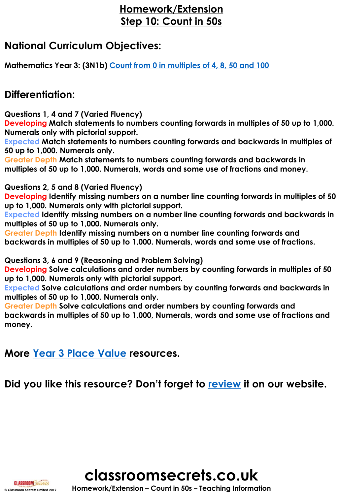### **Homework/Extension Step 10: Count in 50s**

### **National Curriculum Objectives:**

**Mathematics Year 3: (3N1b) [Count from 0 in multiples of 4, 8, 50 and 100](https://classroomsecrets.co.uk/content-domain-filter/?fwp_contentdomain=3n1b)**

### **Differentiation:**

**Questions 1, 4 and 7 (Varied Fluency)**

**Developing Match statements to numbers counting forwards in multiples of 50 up to 1,000. Numerals only with pictorial support.**

**Expected Match statements to numbers counting forwards and backwards in multiples of 50 up to 1,000. Numerals only.**

**Greater Depth Match statements to numbers counting forwards and backwards in multiples of 50 up to 1,000. Numerals, words and some use of fractions and money.**

**Questions 2, 5 and 8 (Varied Fluency)**

**Developing Identify missing numbers on a number line counting forwards in multiples of 50 up to 1,000. Numerals only with pictorial support.**

**Expected Identify missing numbers on a number line counting forwards and backwards in multiples of 50 up to 1,000. Numerals only.**

**Greater Depth Identify missing numbers on a number line counting forwards and backwards in multiples of 50 up to 1,000. Numerals, words and some use of fractions.**

**Questions 3, 6 and 9 (Reasoning and Problem Solving)**

**Developing Solve calculations and order numbers by counting forwards in multiples of 50 up to 1,000. Numerals only with pictorial support.**

**Expected Solve calculations and order numbers by counting forwards and backwards in multiples of 50 up to 1,000. Numerals only.**

**Greater Depth Solve calculations and order numbers by counting forwards and backwards in multiples of 50 up to 1,000, Numerals, words and some use of fractions and money.**

**More [Year 3 Place Value](https://classroomsecrets.co.uk/category/maths/year-3/autumn-block-1-place-value-year-3/) resources.**

**Did you like this resource? Don't forget to [review](https://classroomsecrets.co.uk/count-in-50s-homework-extension-year-3-place-value/) it on our website.**



**classroomsecrets.co.uk © Classroom Secrets Limited 2019 Homework/Extension – Count in 50s – Teaching Information**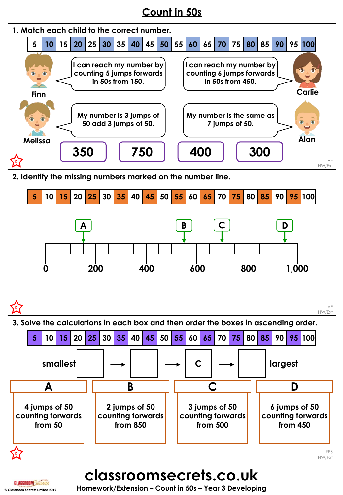## **Count in 50s**



**classroomsecrets.co.uk**

**CLASSROOM Secrets**<br>
© Classroom Secrets Limited 2019 **Homework/Extension – Count in 50s – Year 3 Developing**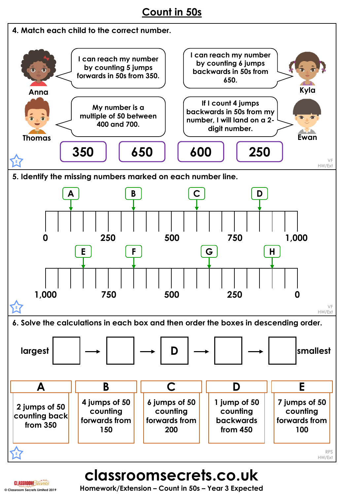### **Count in 50s**



# **classroomsecrets.co.uk**

**CLASSROOM Secrets**<br>
© Classroom Secrets Limited 2019 **Homework/Extension – Count in 50s – Year 3 Expected**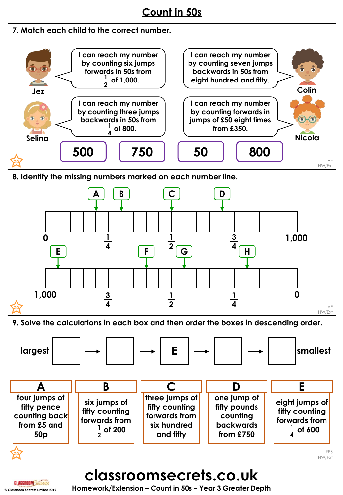### **Count in 50s**



# **classroomsecrets.co.uk**

**© Classroom Secrets Limited 2019 Homework/Extension – Count in 50s – Year 3 Greater Depth**